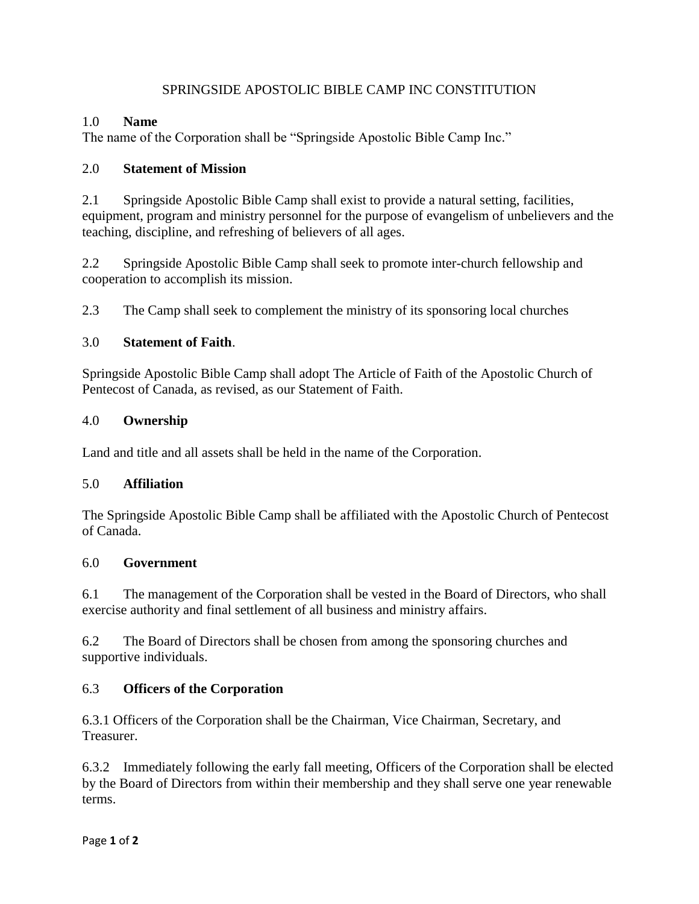### SPRINGSIDE APOSTOLIC BIBLE CAMP INC CONSTITUTION

### 1.0 **Name**

The name of the Corporation shall be "Springside Apostolic Bible Camp Inc."

### 2.0 **Statement of Mission**

2.1 Springside Apostolic Bible Camp shall exist to provide a natural setting, facilities, equipment, program and ministry personnel for the purpose of evangelism of unbelievers and the teaching, discipline, and refreshing of believers of all ages.

2.2 Springside Apostolic Bible Camp shall seek to promote inter-church fellowship and cooperation to accomplish its mission.

2.3 The Camp shall seek to complement the ministry of its sponsoring local churches

## 3.0 **Statement of Faith**.

Springside Apostolic Bible Camp shall adopt The Article of Faith of the Apostolic Church of Pentecost of Canada, as revised, as our Statement of Faith.

### 4.0 **Ownership**

Land and title and all assets shall be held in the name of the Corporation.

## 5.0 **Affiliation**

The Springside Apostolic Bible Camp shall be affiliated with the Apostolic Church of Pentecost of Canada.

#### 6.0 **Government**

6.1 The management of the Corporation shall be vested in the Board of Directors, who shall exercise authority and final settlement of all business and ministry affairs.

6.2 The Board of Directors shall be chosen from among the sponsoring churches and supportive individuals.

## 6.3 **Officers of the Corporation**

6.3.1 Officers of the Corporation shall be the Chairman, Vice Chairman, Secretary, and Treasurer.

6.3.2 Immediately following the early fall meeting, Officers of the Corporation shall be elected by the Board of Directors from within their membership and they shall serve one year renewable terms.